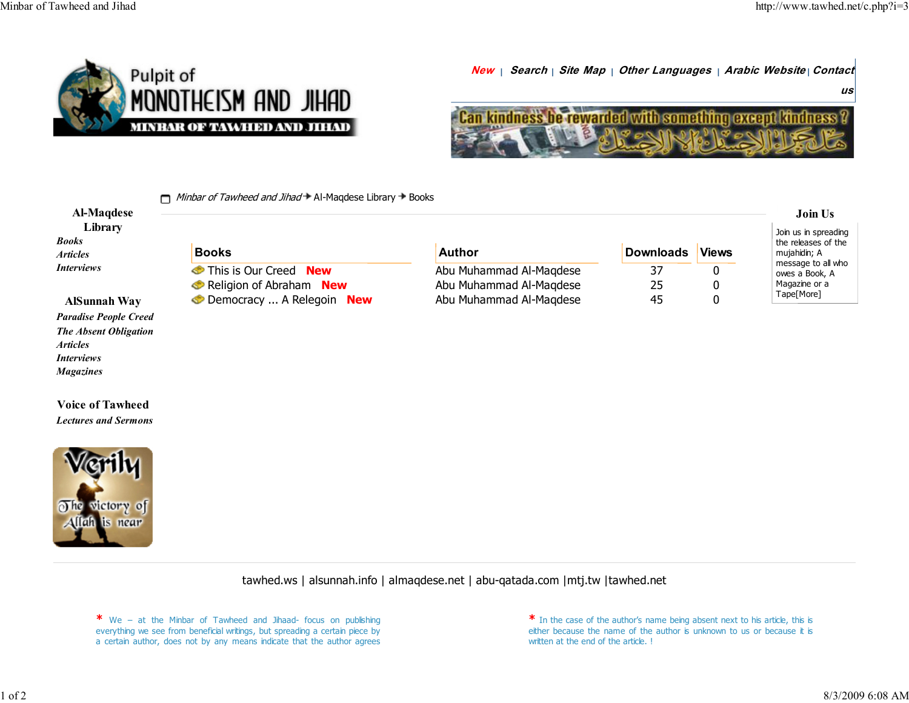

New  $\mid$  Search  $\mid$  Site Map  $\mid$  Other Languages  $\mid$  Arabic Website $\mid$  Contact

us



|                                            | <i>Minbar of Tawheed and Jihad</i> + Al-Magdese Library + Books<br>m |                         |                  |              |                                                                                                                                                      |
|--------------------------------------------|----------------------------------------------------------------------|-------------------------|------------------|--------------|------------------------------------------------------------------------------------------------------------------------------------------------------|
| <b>Al-Magdese</b>                          |                                                                      |                         | <b>Downloads</b> | <b>Views</b> | <b>Join Us</b><br>Join us in spreading<br>the releases of the<br>mujahidin; A<br>message to all who<br>owes a Book, A<br>Magazine or a<br>Tape[More] |
| Library<br><b>Books</b><br><b>Articles</b> | <b>Books</b>                                                         | <b>Author</b>           |                  |              |                                                                                                                                                      |
| <i>Interviews</i>                          | This is Our Creed <b>New</b>                                         | Abu Muhammad Al-Maqdese | 37               |              |                                                                                                                                                      |
|                                            | Religion of Abraham New                                              | Abu Muhammad Al-Magdese | 25               |              |                                                                                                                                                      |
| <b>AlSunnah Way</b>                        | Democracy  A Relegoin New                                            | Abu Muhammad Al-Magdese | 45               |              |                                                                                                                                                      |
| <b>Paradise People Creed</b>               |                                                                      |                         |                  |              |                                                                                                                                                      |
| <b>The Absent Obligation</b>               |                                                                      |                         |                  |              |                                                                                                                                                      |
| <b>Articles</b>                            |                                                                      |                         |                  |              |                                                                                                                                                      |
| <i>Interviews</i>                          |                                                                      |                         |                  |              |                                                                                                                                                      |
| <b>Magazines</b>                           |                                                                      |                         |                  |              |                                                                                                                                                      |

Voice of TawheedLectures and Sermons



tawhed.ws | alsunnah.info | almaqdese.net | abu-qatada.com |mtj.tw |tawhed.net

\* We – at the Minbar of Tawheed and Jihaad- focus on publishing everything we see from beneficial writings, but spreading a certain piece by a certain author, does not by any means indicate that the author agrees

\* In the case of the author's name being absent next to his article, this is either because the name of the author is unknown to us or because it iswritten at the end of the article. !